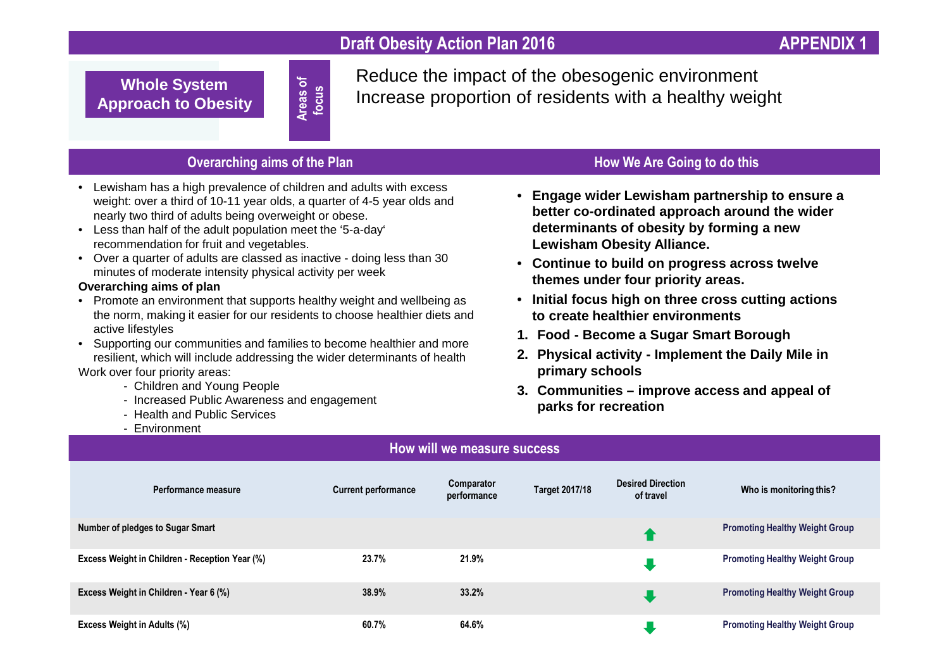## **Draft Obesity Action Plan 2016** APPENDIX **APPENDIX**

**Whole System Approach to Obesity** **Areas of focus** Reduce the impact of the obesogenic environmentIncrease proportion of residents with a healthy weight

## **Overarching aims of the Plan**

- Lewisham has a high prevalence of children and adults with excess weight: over a third of 10-11 year olds, a quarter of 4-5 year olds and nearly two third of adults being overweight or obese.
- Less than half of the adult population meet the '5-a-day' recommendation for fruit and vegetables.
- Over a quarter of adults are classed as inactive doing less than 30 minutes of moderate intensity physical activity per week

#### **Overarching aims of plan**

- Promote an environment that supports healthy weight and wellbeing as the norm, making it easier for our residents to choose healthier diets and active lifestyles
- Supporting our communities and families to become healthier and more resilient, which will include addressing the wider determinants of healthWork over four priority areas:
	- Children and Young People
	- Increased Public Awareness and engagement
	- Health and Public Services
	- Environment

## **How We Are Going to do this**

- **Engage wider Lewisham partnership to ensure a better co-ordinated approach around the wider determinants of obesity by forming a new Lewisham Obesity Alliance.**
- **Continue to build on progress across twelve themes under four priority areas.**
- **Initial focus high on three cross cutting actions to create healthier environments**
- **1. Food - Become a Sugar Smart Borough**
- **2. Physical activity - Implement the Daily Mile in primary schools**
- **3. Communities – improve access and appeal of parks for recreation**

| How will we measure success                    |                            |                           |                       |                                       |                                       |
|------------------------------------------------|----------------------------|---------------------------|-----------------------|---------------------------------------|---------------------------------------|
| Performance measure                            | <b>Current performance</b> | Comparator<br>performance | <b>Target 2017/18</b> | <b>Desired Direction</b><br>of travel | Who is monitoring this?               |
| <b>Number of pledges to Sugar Smart</b>        |                            |                           |                       |                                       | <b>Promoting Healthy Weight Group</b> |
| Excess Weight in Children - Reception Year (%) | 23.7%                      | 21.9%                     |                       |                                       | <b>Promoting Healthy Weight Group</b> |
| Excess Weight in Children - Year 6 (%)         | 38.9%                      | 33.2%                     |                       |                                       | <b>Promoting Healthy Weight Group</b> |
| <b>Excess Weight in Adults (%)</b>             | 60.7%                      | 64.6%                     |                       |                                       | <b>Promoting Healthy Weight Group</b> |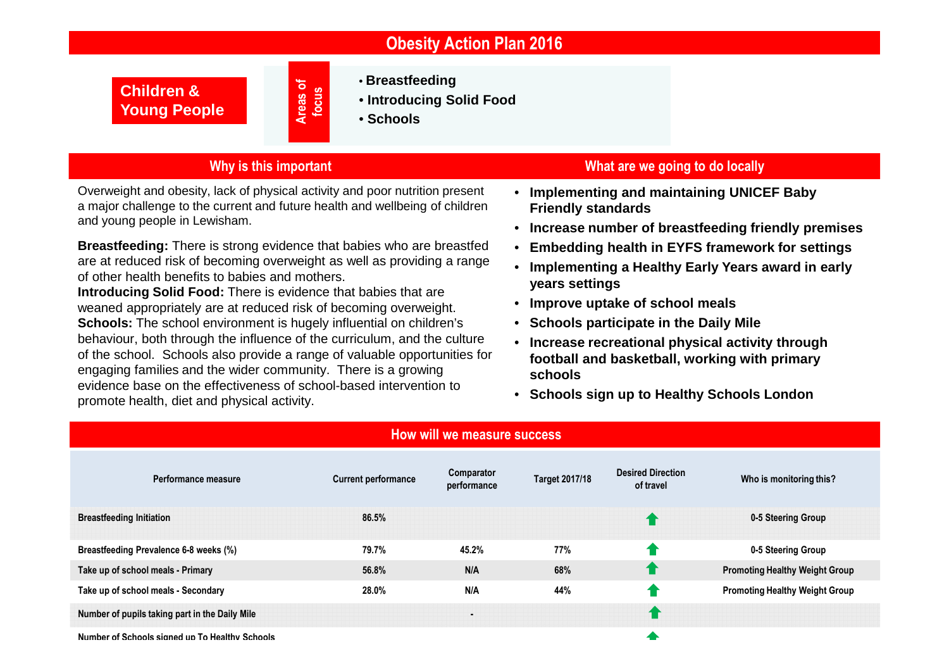|  |  | <b>Obesity Action Plan 2016</b> |
|--|--|---------------------------------|
|--|--|---------------------------------|

**Children & Young People** **Areas of focus**

- **Breastfeeding**
- **Introducing Solid Food**
- **Schools**

## **Why is this important**

Overweight and obesity, lack of physical activity and poor nutrition present a major challenge to the current and future health and wellbeing of children and young people in Lewisham.

**Breastfeeding:** There is strong evidence that babies who are breastfed are at reduced risk of becoming overweight as well as providing a range of other health benefits to babies and mothers.

 **Introducing Solid Food:** There is evidence that babies that are weaned appropriately are at reduced risk of becoming overweight. **Schools:** The school environment is hugely influential on children's behaviour, both through the influence of the curriculum, and the culture of the school. Schools also provide a range of valuable opportunities for engaging families and the wider community. There is a growing evidence base on the effectiveness of school-based intervention to promote health, diet and physical activity.

#### **What are we going to do locally**

- **Implementing and maintaining UNICEF Baby Friendly standards**
- **Increase number of breastfeeding friendly premises**
- **Embedding health in EYFS framework for settings**
- **Implementing a Healthy Early Years award in early years settings**
- **Improve uptake of school meals**
- **Schools participate in the Daily Mile**
- **Increase recreational physical activity through football and basketball, working with primary schools**
- **Schools sign up to Healthy Schools London**

| How will we measure success                    |                            |                           |                       |                                       |                                       |
|------------------------------------------------|----------------------------|---------------------------|-----------------------|---------------------------------------|---------------------------------------|
| Performance measure                            | <b>Current performance</b> | Comparator<br>performance | <b>Target 2017/18</b> | <b>Desired Direction</b><br>of travel | Who is monitoring this?               |
| <b>Breastfeeding Initiation</b>                | 86.5%                      |                           |                       |                                       | 0-5 Steering Group                    |
| Breastfeeding Prevalence 6-8 weeks (%)         | 79.7%                      | 45.2%                     | 77%                   |                                       | 0-5 Steering Group                    |
| Take up of school meals - Primary              | 56.8%                      | N/A                       | 68%                   |                                       | <b>Promoting Healthy Weight Group</b> |
| Take up of school meals - Secondary            | 28.0%                      | N/A                       | 44%                   |                                       | <b>Promoting Healthy Weight Group</b> |
| Number of pupils taking part in the Daily Mile |                            | $\blacksquare$            |                       |                                       |                                       |
| Number of Schools signed up To Healthy Schools |                            |                           |                       |                                       |                                       |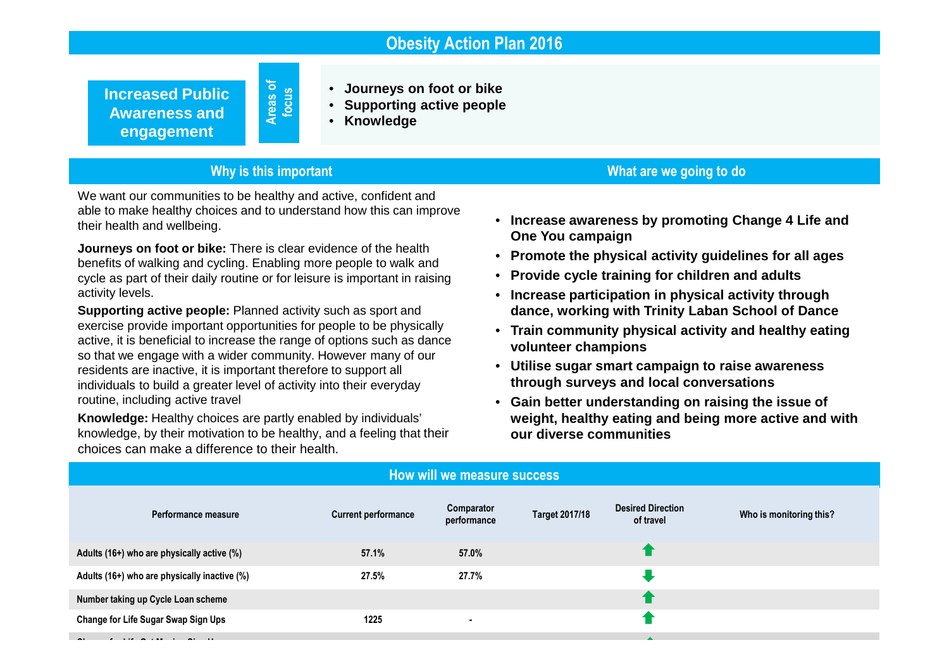## **Obesity Action Plan 2016**

**Increased Public Awareness and engagement**

• **Journeys on foot or bike**

- **Supporting active people**
- **Knowledge**

#### **Why is this important**

**Areas of focus**

We want our communities to be healthy and active, confident and able to make healthy choices and to understand how this can improve their health and wellbeing.

**Journeys on foot or bike:** There is clear evidence of the health benefits of walking and cycling. Enabling more people to walk and cycle as part of their daily routine or for leisure is important in raising activity levels.

**Supporting active people:** Planned activity such as sport and exercise provide important opportunities for people to be physically active, it is beneficial to increase the range of options such as dance so that we engage with a wider community. However many of our residents are inactive, it is important therefore to support all individuals to build a greater level of activity into their everyday routine, including active travel

**Knowledge:** Healthy choices are partly enabled by individuals' knowledge, by their motivation to be healthy, and a feeling that their choices can make a difference to their health.

• **Increase awareness by promoting Change 4 Life and One You campaign**

**What are we going to do**

- **Promote the physical activity guidelines for all ages**
- **Provide cycle training for children and adults**
- **Increase participation in physical activity throughdance, working with Trinity Laban School of Dance**
- **Train community physical activity and healthy eating volunteer champions**
- **Utilise sugar smart campaign to raise awareness through surveys and local conversations**
- **Gain better understanding on raising the issue of weight, healthy eating and being more active and with our diverse communities**

| How will we measure success                  |                            |                           |                       |                                       |                         |  |
|----------------------------------------------|----------------------------|---------------------------|-----------------------|---------------------------------------|-------------------------|--|
| Performance measure                          | <b>Current performance</b> | Comparator<br>performance | <b>Target 2017/18</b> | <b>Desired Direction</b><br>of travel | Who is monitoring this? |  |
| Adults (16+) who are physically active (%)   | 57.1%                      | 57.0%                     |                       |                                       |                         |  |
| Adults (16+) who are physically inactive (%) | 27.5%                      | 27.7%                     |                       |                                       |                         |  |
| Number taking up Cycle Loan scheme           |                            |                           |                       |                                       |                         |  |
| Change for Life Sugar Swap Sign Ups          | 1225                       |                           |                       |                                       |                         |  |
|                                              |                            |                           |                       |                                       |                         |  |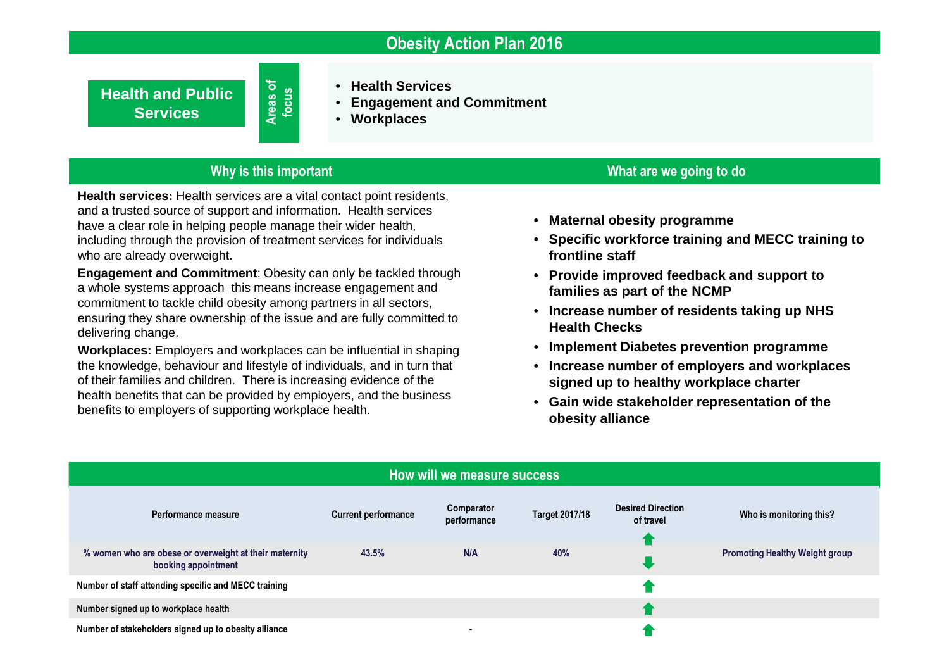## **Obesity Action Plan 2016**

**Health and Public Services**

• **Health Services**

- **Engagement and Commitment** •
- **Workplaces**

#### **Why is this important**

**Areas of focus**

**Health services:** Health services are a vital contact point residents, and a trusted source of support and information. Health services have a clear role in helping people manage their wider health, including through the provision of treatment services for individuals who are already overweight.

**Engagement and Commitment**: Obesity can only be tackled through a whole systems approach this means increase engagement and commitment to tackle child obesity among partners in all sectors, ensuring they share ownership of the issue and are fully committed to delivering change.

**Workplaces:** Employers and workplaces can be influential in shaping the knowledge, behaviour and lifestyle of individuals, and in turn that of their families and children. There is increasing evidence of the health benefits that can be provided by employers, and the business benefits to employers of supporting workplace health.

#### **What are we going to do**

- **Maternal obesity programme**
- **Specific workforce training and MECC training to frontline staff**
- **Provide improved feedback and support to families as part of the NCMP**
- **Increase number of residents taking up NHS Health Checks**
- **Implement Diabetes prevention programme**
- **Increase number of employers and workplaces signed up to healthy workplace charter**
- **Gain wide stakeholder representation of the obesity alliance**

| How will we measure success                                                   |                            |                           |                       |                                       |                                       |  |
|-------------------------------------------------------------------------------|----------------------------|---------------------------|-----------------------|---------------------------------------|---------------------------------------|--|
| Performance measure                                                           | <b>Current performance</b> | Comparator<br>performance | <b>Target 2017/18</b> | <b>Desired Direction</b><br>of travel | Who is monitoring this?               |  |
| % women who are obese or overweight at their maternity<br>booking appointment | 43.5%                      | N/A                       | 40%                   |                                       | <b>Promoting Healthy Weight group</b> |  |
| Number of staff attending specific and MECC training                          |                            |                           |                       |                                       |                                       |  |
| Number signed up to workplace health                                          |                            |                           |                       |                                       |                                       |  |
| Number of stakeholders signed up to obesity alliance                          |                            | ۰                         |                       |                                       |                                       |  |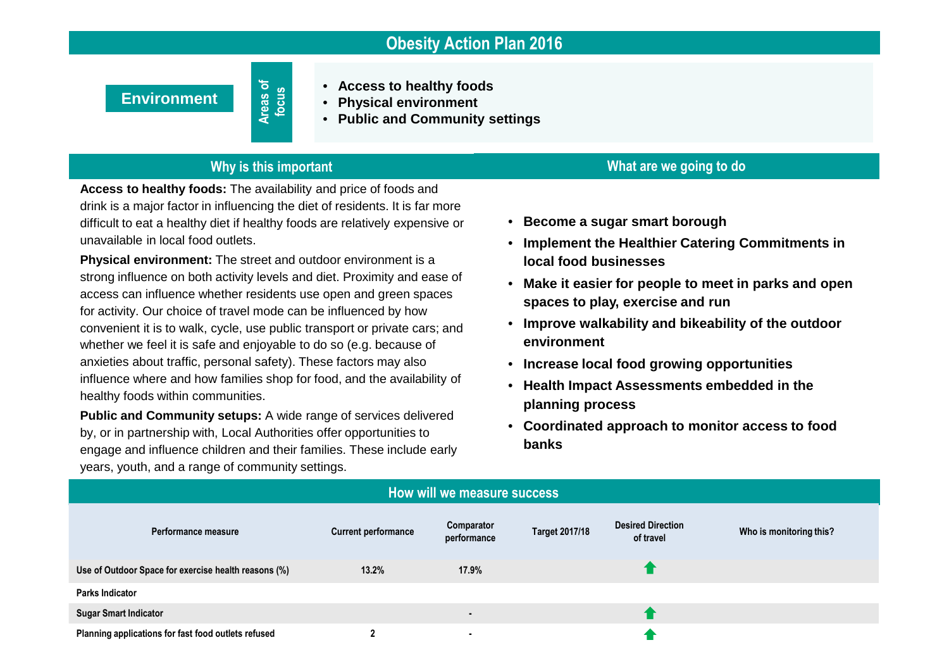## **Obesity Action Plan 2016**

**Environment**

**Areas of focus**

- **Access to healthy foods**
- •**Physical environment**
- **Public and Community settings**

## **Why is this important**

**Access to healthy foods:** The availability and price of foods and drink is a major factor in influencing the diet of residents. It is far more difficult to eat a healthy diet if healthy foods are relatively expensive or unavailable in local food outlets.

**Physical environment:** The street and outdoor environment is a strong influence on both activity levels and diet. Proximity and ease of access can influence whether residents use open and green spaces for activity. Our choice of travel mode can be influenced by how convenient it is to walk, cycle, use public transport or private cars; and whether we feel it is safe and enjoyable to do so (e.g. because of anxieties about traffic, personal safety). These factors may also influence where and how families shop for food, and the availability of healthy foods within communities.

**Public and Community setups:** A wide range of services delivered by, or in partnership with, Local Authorities offer opportunities to engage and influence children and their families. These include early years, youth, and a range of community settings.

# **What are we going to do**

- **Become a sugar smart borough**
- **Implement the Healthier Catering Commitments in local food businesses**
- **Make it easier for people to meet in parks and openspaces to play, exercise and run**
- **Improve walkability and bikeability of the outdoor environment**
- **Increase local food growing opportunities**
- **Health Impact Assessments embedded in the planning process**
- **Coordinated approach to monitor access to food banks**

| How will we measure success                          |                            |                           |                       |                                       |                         |  |
|------------------------------------------------------|----------------------------|---------------------------|-----------------------|---------------------------------------|-------------------------|--|
| Performance measure                                  | <b>Current performance</b> | Comparator<br>performance | <b>Target 2017/18</b> | <b>Desired Direction</b><br>of travel | Who is monitoring this? |  |
| Use of Outdoor Space for exercise health reasons (%) | 13.2%                      | 17.9%                     |                       |                                       |                         |  |
| <b>Parks Indicator</b>                               |                            |                           |                       |                                       |                         |  |
| <b>Sugar Smart Indicator</b>                         |                            | $\blacksquare$            |                       |                                       |                         |  |
| Planning applications for fast food outlets refused  |                            | $\blacksquare$            |                       |                                       |                         |  |